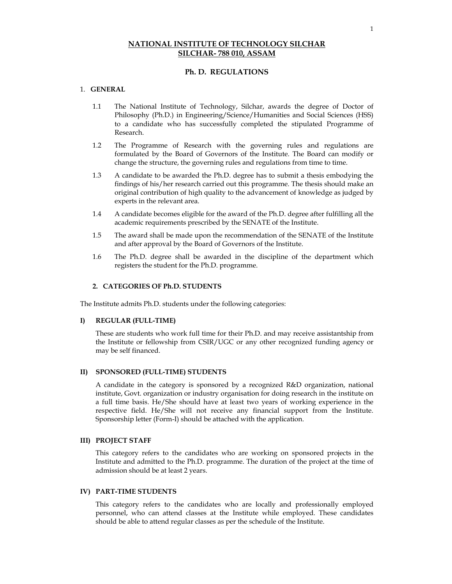# **NATIONAL INSTITUTE OF TECHNOLOGY SILCHAR SILCHAR- 788 010, ASSAM**

# **Ph. D. REGULATIONS**

## 1. **GENERAL**

- 1.1 The National Institute of Technology, Silchar, awards the degree of Doctor of Philosophy (Ph.D.) in Engineering/Science/Humanities and Social Sciences (HSS) to a candidate who has successfully completed the stipulated Programme of Research.
- 1.2 The Programme of Research with the governing rules and regulations are formulated by the Board of Governors of the Institute. The Board can modify or change the structure, the governing rules and regulations from time to time.
- 1.3 A candidate to be awarded the Ph.D. degree has to submit a thesis embodying the findings of his/her research carried out this programme. The thesis should make an original contribution of high quality to the advancement of knowledge as judged by experts in the relevant area.
- 1.4 A candidate becomes eligible for the award of the Ph.D. degree after fulfilling all the academic requirements prescribed by the SENATE of the Institute.
- 1.5 The award shall be made upon the recommendation of the SENATE of the Institute and after approval by the Board of Governors of the Institute.
- 1.6 The Ph.D. degree shall be awarded in the discipline of the department which registers the student for the Ph.D. programme.

#### **2. CATEGORIES OF Ph.D. STUDENTS**

The Institute admits Ph.D. students under the following categories:

### **I) REGULAR (FULL-TIME)**

These are students who work full time for their Ph.D. and may receive assistantship from the Institute or fellowship from CSIR/UGC or any other recognized funding agency or may be self financed.

#### **II) SPONSORED (FULL-TIME) STUDENTS**

A candidate in the category is sponsored by a recognized R&D organization, national institute, Govt. organization or industry organisation for doing research in the institute on a full time basis. He/She should have at least two years of working experience in the respective field. He/She will not receive any financial support from the Institute. Sponsorship letter (Form-I) should be attached with the application.

### **III) PROJECT STAFF**

This category refers to the candidates who are working on sponsored projects in the Institute and admitted to the Ph.D. programme. The duration of the project at the time of admission should be at least 2 years.

### **IV) PART-TIME STUDENTS**

This category refers to the candidates who are locally and professionally employed personnel, who can attend classes at the Institute while employed. These candidates should be able to attend regular classes as per the schedule of the Institute.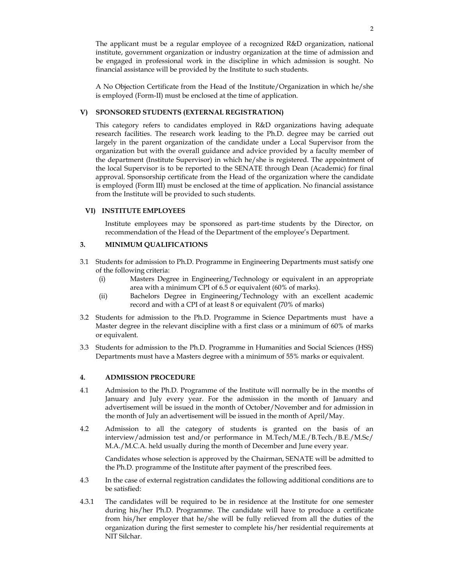The applicant must be a regular employee of a recognized R&D organization, national institute, government organization or industry organization at the time of admission and be engaged in professional work in the discipline in which admission is sought. No financial assistance will be provided by the Institute to such students.

A No Objection Certificate from the Head of the Institute/Organization in which he/she is employed (Form-II) must be enclosed at the time of application.

### **V) SPONSORED STUDENTS (EXTERNAL REGISTRATION)**

This category refers to candidates employed in R&D organizations having adequate research facilities. The research work leading to the Ph.D. degree may be carried out largely in the parent organization of the candidate under a Local Supervisor from the organization but with the overall guidance and advice provided by a faculty member of the department (Institute Supervisor) in which he/she is registered. The appointment of the local Supervisor is to be reported to the SENATE through Dean (Academic) for final approval. Sponsorship certificate from the Head of the organization where the candidate is employed (Form III) must be enclosed at the time of application. No financial assistance from the Institute will be provided to such students.

## **VI) INSTITUTE EMPLOYEES**

 Institute employees may be sponsored as part-time students by the Director, on recommendation of the Head of the Department of the employee's Department.

### **3. MINIMUM QUALIFICATIONS**

- 3.1 Students for admission to Ph.D. Programme in Engineering Departments must satisfy one of the following criteria:
	- (i) Masters Degree in Engineering/Technology or equivalent in an appropriate area with a minimum CPI of 6.5 or equivalent (60% of marks).
	- (ii) Bachelors Degree in Engineering/Technology with an excellent academic record and with a CPI of at least 8 or equivalent (70% of marks)
- 3.2 Students for admission to the Ph.D. Programme in Science Departments must have a Master degree in the relevant discipline with a first class or a minimum of 60% of marks or equivalent.
- 3.3 Students for admission to the Ph.D. Programme in Humanities and Social Sciences (HSS) Departments must have a Masters degree with a minimum of 55% marks or equivalent.

### **4. ADMISSION PROCEDURE**

- 4.1 Admission to the Ph.D. Programme of the Institute will normally be in the months of January and July every year. For the admission in the month of January and advertisement will be issued in the month of October/November and for admission in the month of July an advertisement will be issued in the month of April/May.
- 4.2 Admission to all the category of students is granted on the basis of an interview/admission test and/or performance in M.Tech/M.E./B.Tech./B.E./M.Sc/ M.A./M.C.A. held usually during the month of December and June every year.

Candidates whose selection is approved by the Chairman, SENATE will be admitted to the Ph.D. programme of the Institute after payment of the prescribed fees.

- 4.3 In the case of external registration candidates the following additional conditions are to be satisfied:
- 4.3.1 The candidates will be required to be in residence at the Institute for one semester during his/her Ph.D. Programme. The candidate will have to produce a certificate from his/her employer that he/she will be fully relieved from all the duties of the organization during the first semester to complete his/her residential requirements at NIT Silchar.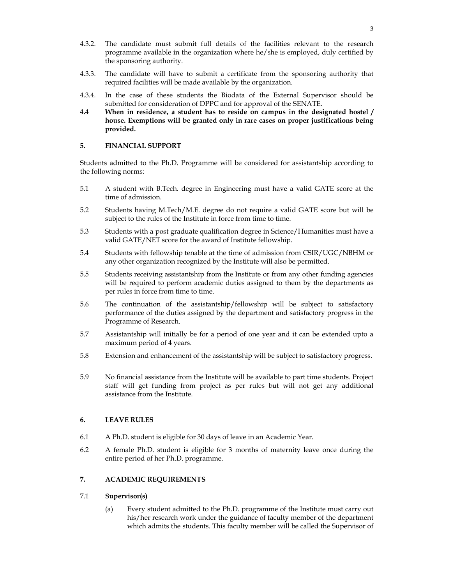- 4.3.2. The candidate must submit full details of the facilities relevant to the research programme available in the organization where he/she is employed, duly certified by the sponsoring authority.
- 4.3.3. The candidate will have to submit a certificate from the sponsoring authority that required facilities will be made available by the organization.
- 4.3.4. In the case of these students the Biodata of the External Supervisor should be submitted for consideration of DPPC and for approval of the SENATE.
- **4.4 When in residence, a student has to reside on campus in the designated hostel / house. Exemptions will be granted only in rare cases on proper justifications being provided.**

# **5. FINANCIAL SUPPORT**

Students admitted to the Ph.D. Programme will be considered for assistantship according to the following norms:

- 5.1 A student with B.Tech. degree in Engineering must have a valid GATE score at the time of admission.
- 5.2 Students having M.Tech/M.E. degree do not require a valid GATE score but will be subject to the rules of the Institute in force from time to time.
- 5.3 Students with a post graduate qualification degree in Science/Humanities must have a valid GATE/NET score for the award of Institute fellowship.
- 5.4 Students with fellowship tenable at the time of admission from CSIR/UGC/NBHM or any other organization recognized by the Institute will also be permitted.
- 5.5 Students receiving assistantship from the Institute or from any other funding agencies will be required to perform academic duties assigned to them by the departments as per rules in force from time to time.
- 5.6 The continuation of the assistantship/fellowship will be subject to satisfactory performance of the duties assigned by the department and satisfactory progress in the Programme of Research.
- 5.7 Assistantship will initially be for a period of one year and it can be extended upto a maximum period of 4 years.
- 5.8 Extension and enhancement of the assistantship will be subject to satisfactory progress.
- 5.9 No financial assistance from the Institute will be available to part time students. Project staff will get funding from project as per rules but will not get any additional assistance from the Institute.

# **6. LEAVE RULES**

- 6.1 A Ph.D. student is eligible for 30 days of leave in an Academic Year.
- 6.2 A female Ph.D. student is eligible for 3 months of maternity leave once during the entire period of her Ph.D. programme.

# **7. ACADEMIC REQUIREMENTS**

# 7.1 **Supervisor(s)**

(a) Every student admitted to the Ph.D. programme of the Institute must carry out his/her research work under the guidance of faculty member of the department which admits the students. This faculty member will be called the Supervisor of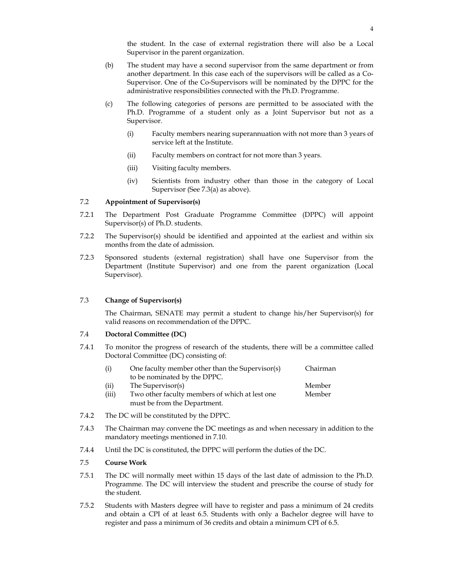the student. In the case of external registration there will also be a Local Supervisor in the parent organization.

- (b) The student may have a second supervisor from the same department or from another department. In this case each of the supervisors will be called as a Co-Supervisor. One of the Co-Supervisors will be nominated by the DPPC for the administrative responsibilities connected with the Ph.D. Programme.
- (c) The following categories of persons are permitted to be associated with the Ph.D. Programme of a student only as a Joint Supervisor but not as a Supervisor.
	- (i) Faculty members nearing superannuation with not more than 3 years of service left at the Institute.
	- (ii) Faculty members on contract for not more than 3 years.
	- (iii) Visiting faculty members.
	- (iv) Scientists from industry other than those in the category of Local Supervisor (See 7.3(a) as above).

# 7.2 **Appointment of Supervisor(s)**

- 7.2.1 The Department Post Graduate Programme Committee (DPPC) will appoint Supervisor(s) of Ph.D. students.
- 7.2.2 The Supervisor(s) should be identified and appointed at the earliest and within six months from the date of admission.
- 7.2.3 Sponsored students (external registration) shall have one Supervisor from the Department (Institute Supervisor) and one from the parent organization (Local Supervisor).

# 7.3 **Change of Supervisor(s)**

The Chairman, SENATE may permit a student to change his/her Supervisor(s) for valid reasons on recommendation of the DPPC.

# 7.4 **Doctoral Committee (DC)**

- 7.4.1 To monitor the progress of research of the students, there will be a committee called Doctoral Committee (DC) consisting of:
	- (i) One faculty member other than the Supervisor(s) Chairman to be nominated by the DPPC.
	- (ii) The Supervisor(s) Member (iii) Two other faculty members of which at lest one Member must be from the Department.
- 7.4.2 The DC will be constituted by the DPPC.
- 7.4.3 The Chairman may convene the DC meetings as and when necessary in addition to the mandatory meetings mentioned in 7.10.
- 7.4.4 Until the DC is constituted, the DPPC will perform the duties of the DC.

# 7.5 **Course Work**

- 7.5.1 The DC will normally meet within 15 days of the last date of admission to the Ph.D. Programme. The DC will interview the student and prescribe the course of study for the student.
- 7.5.2 Students with Masters degree will have to register and pass a minimum of 24 credits and obtain a CPI of at least 6.5. Students with only a Bachelor degree will have to register and pass a minimum of 36 credits and obtain a minimum CPI of 6.5.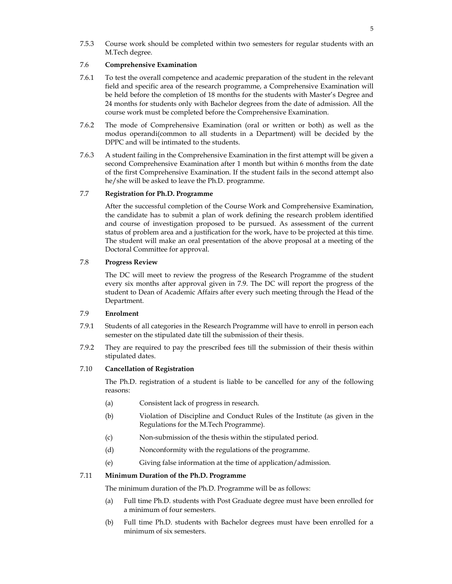7.5.3 Course work should be completed within two semesters for regular students with an M.Tech degree.

# 7.6 **Comprehensive Examination**

- 7.6.1 To test the overall competence and academic preparation of the student in the relevant field and specific area of the research programme, a Comprehensive Examination will be held before the completion of 18 months for the students with Master's Degree and 24 months for students only with Bachelor degrees from the date of admission. All the course work must be completed before the Comprehensive Examination.
- 7.6.2 The mode of Comprehensive Examination (oral or written or both) as well as the modus operandi(common to all students in a Department) will be decided by the DPPC and will be intimated to the students.
- 7.6.3 A student failing in the Comprehensive Examination in the first attempt will be given a second Comprehensive Examination after 1 month but within 6 months from the date of the first Comprehensive Examination. If the student fails in the second attempt also he/she will be asked to leave the Ph.D. programme.

#### 7.7 **Registration for Ph.D. Programme**

After the successful completion of the Course Work and Comprehensive Examination, the candidate has to submit a plan of work defining the research problem identified and course of investigation proposed to be pursued. As assessment of the current status of problem area and a justification for the work, have to be projected at this time. The student will make an oral presentation of the above proposal at a meeting of the Doctoral Committee for approval.

### 7.8 **Progress Review**

The DC will meet to review the progress of the Research Programme of the student every six months after approval given in 7.9. The DC will report the progress of the student to Dean of Academic Affairs after every such meeting through the Head of the Department.

### 7.9 **Enrolment**

- 7.9.1 Students of all categories in the Research Programme will have to enroll in person each semester on the stipulated date till the submission of their thesis.
- 7.9.2 They are required to pay the prescribed fees till the submission of their thesis within stipulated dates.

# 7.10 **Cancellation of Registration**

The Ph.D. registration of a student is liable to be cancelled for any of the following reasons:

- (a) Consistent lack of progress in research.
- (b) Violation of Discipline and Conduct Rules of the Institute (as given in the Regulations for the M.Tech Programme).
- (c) Non-submission of the thesis within the stipulated period.
- (d) Nonconformity with the regulations of the programme.
- (e) Giving false information at the time of application/admission.

### 7.11 **Minimum Duration of the Ph.D. Programme**

The minimum duration of the Ph.D. Programme will be as follows:

- (a) Full time Ph.D. students with Post Graduate degree must have been enrolled for a minimum of four semesters.
- (b) Full time Ph.D. students with Bachelor degrees must have been enrolled for a minimum of six semesters.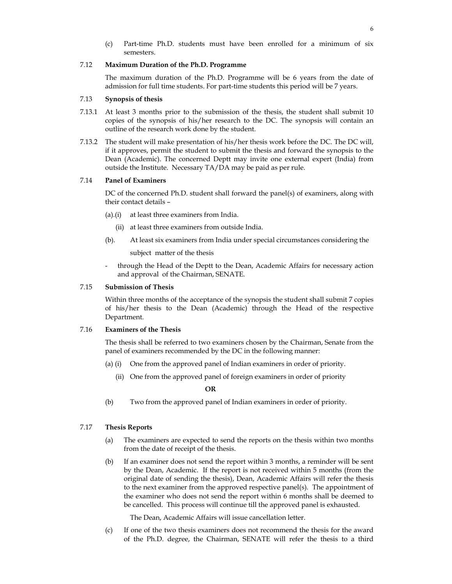(c) Part-time Ph.D. students must have been enrolled for a minimum of six semesters.

## 7.12 **Maximum Duration of the Ph.D. Programme**

The maximum duration of the Ph.D. Programme will be 6 years from the date of admission for full time students. For part-time students this period will be 7 years.

#### 7.13 **Synopsis of thesis**

- 7.13.1 At least 3 months prior to the submission of the thesis, the student shall submit 10 copies of the synopsis of his/her research to the DC. The synopsis will contain an outline of the research work done by the student.
- 7.13.2 The student will make presentation of his/her thesis work before the DC. The DC will, if it approves, permit the student to submit the thesis and forward the synopsis to the Dean (Academic). The concerned Deptt may invite one external expert (India) from outside the Institute. Necessary TA/DA may be paid as per rule.

#### 7.14 **Panel of Examiners**

DC of the concerned Ph.D. student shall forward the panel(s) of examiners, along with their contact details –

- (a).(i) at least three examiners from India.
	- (ii) at least three examiners from outside India.
- (b). At least six examiners from India under special circumstances considering the

subject matter of the thesis

- through the Head of the Deptt to the Dean, Academic Affairs for necessary action and approval of the Chairman, SENATE.

### 7.15 **Submission of Thesis**

Within three months of the acceptance of the synopsis the student shall submit 7 copies of his/her thesis to the Dean (Academic) through the Head of the respective Department.

## 7.16 **Examiners of the Thesis**

The thesis shall be referred to two examiners chosen by the Chairman, Senate from the panel of examiners recommended by the DC in the following manner:

- (a) (i) One from the approved panel of Indian examiners in order of priority.
	- (ii) One from the approved panel of foreign examiners in order of priority

**OR** 

(b) Two from the approved panel of Indian examiners in order of priority.

#### 7.17 **Thesis Reports**

- (a) The examiners are expected to send the reports on the thesis within two months from the date of receipt of the thesis.
- (b) If an examiner does not send the report within 3 months, a reminder will be sent by the Dean, Academic. If the report is not received within 5 months (from the original date of sending the thesis), Dean, Academic Affairs will refer the thesis to the next examiner from the approved respective panel(s). The appointment of the examiner who does not send the report within 6 months shall be deemed to be cancelled. This process will continue till the approved panel is exhausted.

The Dean, Academic Affairs will issue cancellation letter.

(c) If one of the two thesis examiners does not recommend the thesis for the award of the Ph.D. degree, the Chairman, SENATE will refer the thesis to a third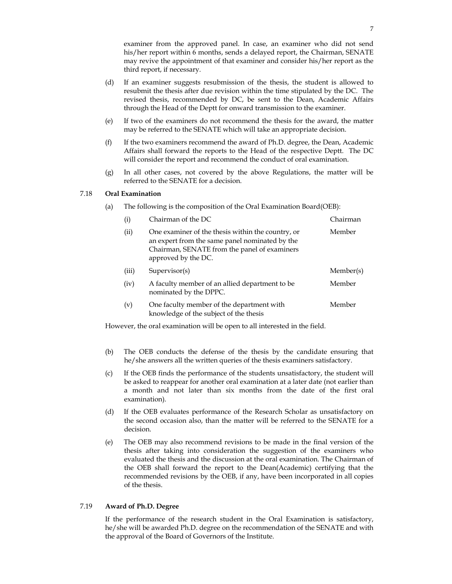examiner from the approved panel. In case, an examiner who did not send his/her report within 6 months, sends a delayed report, the Chairman, SENATE may revive the appointment of that examiner and consider his/her report as the third report, if necessary.

- (d) If an examiner suggests resubmission of the thesis, the student is allowed to resubmit the thesis after due revision within the time stipulated by the DC. The revised thesis, recommended by DC, be sent to the Dean, Academic Affairs through the Head of the Deptt for onward transmission to the examiner.
- (e) If two of the examiners do not recommend the thesis for the award, the matter may be referred to the SENATE which will take an appropriate decision.
- (f) If the two examiners recommend the award of Ph.D. degree, the Dean, Academic Affairs shall forward the reports to the Head of the respective Deptt. The DC will consider the report and recommend the conduct of oral examination.
- (g) In all other cases, not covered by the above Regulations, the matter will be referred to the SENATE for a decision.

# 7.18 **Oral Examination**

(a) The following is the composition of the Oral Examination Board(OEB):

| (i)   | Chairman of the DC                                                                                                                                                         | Chairman  |
|-------|----------------------------------------------------------------------------------------------------------------------------------------------------------------------------|-----------|
| (ii)  | One examiner of the thesis within the country, or<br>an expert from the same panel nominated by the<br>Chairman, SENATE from the panel of examiners<br>approved by the DC. | Member    |
| (iii) | Supervisor(s)                                                                                                                                                              | Member(s) |
| (iv)  | A faculty member of an allied department to be<br>nominated by the DPPC.                                                                                                   | Member    |
| (v)   | One faculty member of the department with<br>knowledge of the subject of the thesis                                                                                        | Member    |

However, the oral examination will be open to all interested in the field.

- (b) The OEB conducts the defense of the thesis by the candidate ensuring that he/she answers all the written queries of the thesis examiners satisfactory.
- (c) If the OEB finds the performance of the students unsatisfactory, the student will be asked to reappear for another oral examination at a later date (not earlier than a month and not later than six months from the date of the first oral examination).
- (d) If the OEB evaluates performance of the Research Scholar as unsatisfactory on the second occasion also, than the matter will be referred to the SENATE for a decision.
- (e) The OEB may also recommend revisions to be made in the final version of the thesis after taking into consideration the suggestion of the examiners who evaluated the thesis and the discussion at the oral examination. The Chairman of the OEB shall forward the report to the Dean(Academic) certifying that the recommended revisions by the OEB, if any, have been incorporated in all copies of the thesis.

### 7.19 **Award of Ph.D. Degree**

If the performance of the research student in the Oral Examination is satisfactory, he/she will be awarded Ph.D. degree on the recommendation of the SENATE and with the approval of the Board of Governors of the Institute.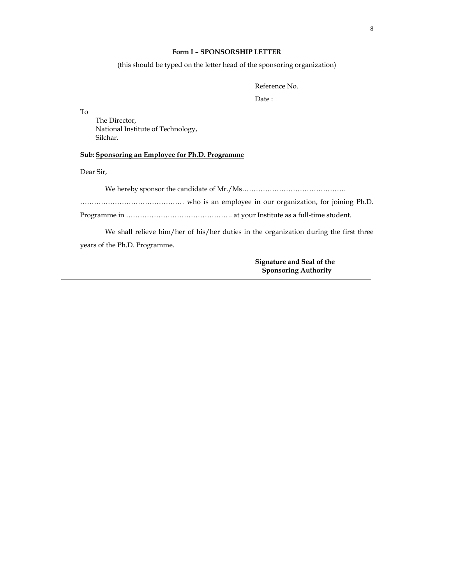## **Form I – SPONSORSHIP LETTER**

(this should be typed on the letter head of the sponsoring organization)

Reference No.

Date :

To

 The Director, National Institute of Technology, Silchar.

# **Sub: Sponsoring an Employee for Ph.D. Programme**

Dear Sir,

We hereby sponsor the candidate of Mr./Ms………………………………………

……………………………………… who is an employee in our organization, for joining Ph.D.

Programme in ………………………………………. at your Institute as a full-time student.

We shall relieve him/her of his/her duties in the organization during the first three years of the Ph.D. Programme.

> **Signature and Seal of the Sponsoring Authority**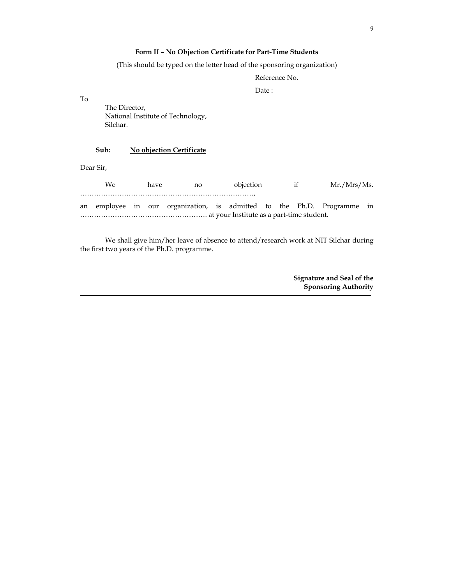# **Form II – No Objection Certificate for Part-Time Students**

(This should be typed on the letter head of the sponsoring organization)

Reference No.

Date :

To

 The Director, National Institute of Technology, Silchar.

# **Sub: No objection Certificate**

Dear Sir,

| We | have | no | objection               |                            | Mr./Mrs/Ms. |
|----|------|----|-------------------------|----------------------------|-------------|
|    |      |    |                         |                            |             |
|    |      |    | $1 \cdot \cdot \cdot 1$ | $\mathbf{D1}$ $\mathbf{D}$ |             |

an employee in our organization, is admitted to the Ph.D. Programme in ………………………………………………. at your Institute as a part-time student.

We shall give him/her leave of absence to attend/research work at NIT Silchar during the first two years of the Ph.D. programme.

> **Signature and Seal of the Sponsoring Authority**